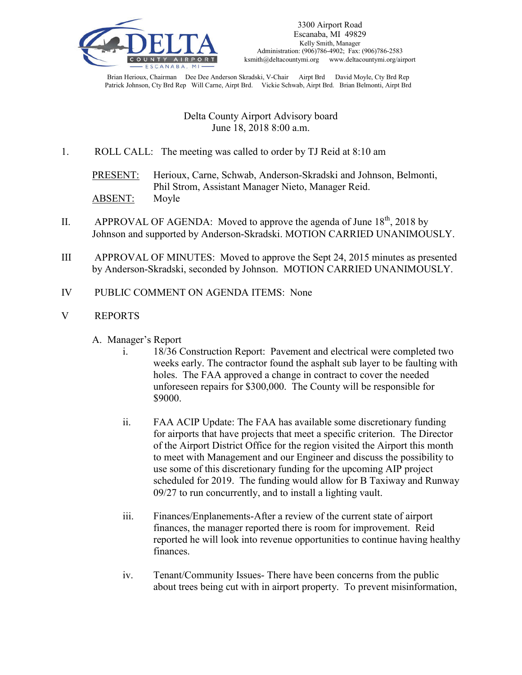

Brian Herioux, Chairman Dee Dee Anderson Skradski, V-Chair Airpt Brd David Moyle, Cty Brd Rep Patrick Johnson, Cty Brd Rep Will Carne, Airpt Brd. Vickie Schwab, Airpt Brd. Brian Belmonti, Airpt Brd

# Delta County Airport Advisory board June 18, 2018 8:00 a.m.

1. ROLL CALL: The meeting was called to order by TJ Reid at 8:10 am

PRESENT: Herioux, Carne, Schwab, Anderson-Skradski and Johnson, Belmonti, Phil Strom, Assistant Manager Nieto, Manager Reid. ABSENT: Moyle

- II. APPROVAL OF AGENDA: Moved to approve the agenda of June  $18<sup>th</sup>$ , 2018 by Johnson and supported by Anderson-Skradski. MOTION CARRIED UNANIMOUSLY.
- III APPROVAL OF MINUTES: Moved to approve the Sept 24, 2015 minutes as presented by Anderson-Skradski, seconded by Johnson. MOTION CARRIED UNANIMOUSLY.
- IV PUBLIC COMMENT ON AGENDA ITEMS: None
- V REPORTS
	- A. Manager's Report
		- i. 18/36 Construction Report: Pavement and electrical were completed two weeks early. The contractor found the asphalt sub layer to be faulting with holes. The FAA approved a change in contract to cover the needed unforeseen repairs for \$300,000. The County will be responsible for \$9000.
		- ii. FAA ACIP Update: The FAA has available some discretionary funding for airports that have projects that meet a specific criterion. The Director of the Airport District Office for the region visited the Airport this month to meet with Management and our Engineer and discuss the possibility to use some of this discretionary funding for the upcoming AIP project scheduled for 2019. The funding would allow for B Taxiway and Runway 09/27 to run concurrently, and to install a lighting vault.
		- iii. Finances/Enplanements-After a review of the current state of airport finances, the manager reported there is room for improvement. Reid reported he will look into revenue opportunities to continue having healthy finances.
		- iv. Tenant/Community Issues- There have been concerns from the public about trees being cut with in airport property. To prevent misinformation,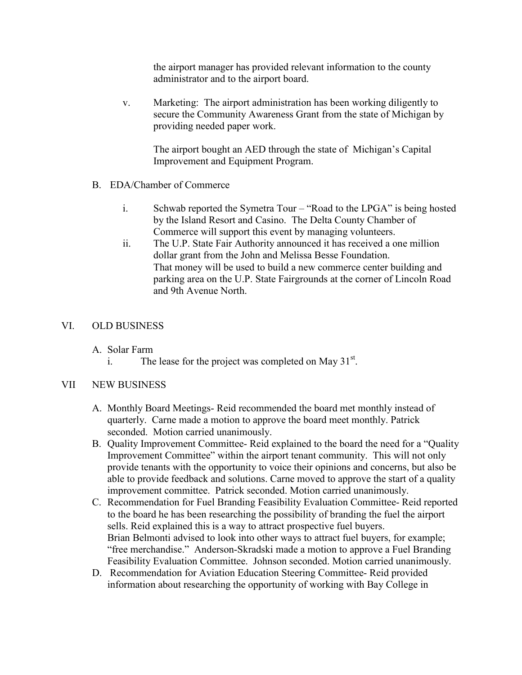the airport manager has provided relevant information to the county administrator and to the airport board.

v. Marketing: The airport administration has been working diligently to secure the Community Awareness Grant from the state of Michigan by providing needed paper work.

The airport bought an AED through the state of Michigan's Capital Improvement and Equipment Program.

- B. EDA/Chamber of Commerce
	- i. Schwab reported the Symetra Tour "Road to the LPGA" is being hosted by the Island Resort and Casino. The Delta County Chamber of Commerce will support this event by managing volunteers.
	- ii. The U.P. State Fair Authority announced it has received a one million dollar grant from the John and Melissa Besse Foundation. That money will be used to build a new commerce center building and parking area on the U.P. State Fairgrounds at the corner of Lincoln Road and 9th Avenue North.

## VI. OLD BUSINESS

A. Solar Farm

i. The lease for the project was completed on May  $31<sup>st</sup>$ .

#### VII NEW BUSINESS

- A. Monthly Board Meetings- Reid recommended the board met monthly instead of quarterly. Carne made a motion to approve the board meet monthly. Patrick seconded. Motion carried unanimously.
- B. Quality Improvement Committee- Reid explained to the board the need for a "Quality Improvement Committee" within the airport tenant community. This will not only provide tenants with the opportunity to voice their opinions and concerns, but also be able to provide feedback and solutions. Carne moved to approve the start of a quality improvement committee. Patrick seconded. Motion carried unanimously.
- C. Recommendation for Fuel Branding Feasibility Evaluation Committee- Reid reported to the board he has been researching the possibility of branding the fuel the airport sells. Reid explained this is a way to attract prospective fuel buyers. Brian Belmonti advised to look into other ways to attract fuel buyers, for example; "free merchandise." Anderson-Skradski made a motion to approve a Fuel Branding Feasibility Evaluation Committee. Johnson seconded. Motion carried unanimously.
- D. Recommendation for Aviation Education Steering Committee- Reid provided information about researching the opportunity of working with Bay College in